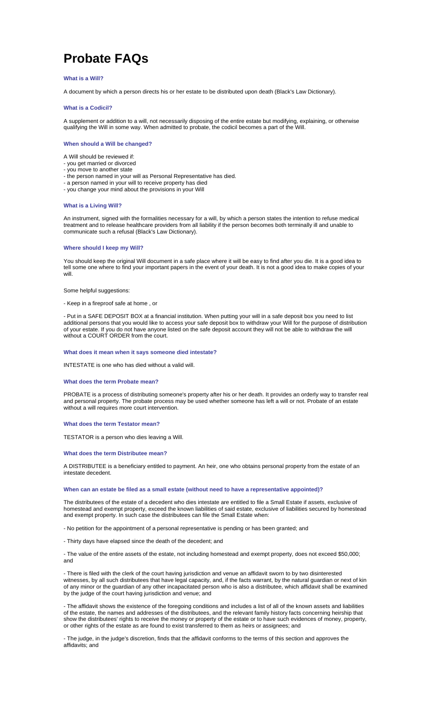# **Probate FAQs**

## **What is a Will?**

A document by which a person directs his or her estate to be distributed upon death (Black's Law Dictionary).

## **What is a Codicil?**

A supplement or addition to a will, not necessarily disposing of the entire estate but modifying, explaining, or otherwise qualifying the Will in some way. When admitted to probate, the codicil becomes a part of the Will.

#### **When should a Will be changed?**

A Will should be reviewed if:

- you get married or divorced - you move to another state
- the person named in your will as Personal Representative has died.
- a person named in your will to receive property has died
- you change your mind about the provisions in your Will

#### **What is a Living Will?**

An instrument, signed with the formalities necessary for a will, by which a person states the intention to refuse medical treatment and to release healthcare providers from all liability if the person becomes both terminally ill and unable to communicate such a refusal (Black's Law Dictionary).

## **Where should I keep my Will?**

You should keep the original Will document in a safe place where it will be easy to find after you die. It is a good idea to tell some one where to find your important papers in the event of your death. It is not a good idea to make copies of your will.

Some helpful suggestions:

- Keep in a fireproof safe at home , or

- Put in a SAFE DEPOSIT BOX at a financial institution. When putting your will in a safe deposit box you need to list additional persons that you would like to access your safe deposit box to withdraw your Will for the purpose of distribution of your estate. If you do not have anyone listed on the safe deposit account they will not be able to withdraw the will without a COURT ORDER from the court.

## **What does it mean when it says someone died intestate?**

INTESTATE is one who has died without a valid will.

## **What does the term Probate mean?**

PROBATE is a process of distributing someone's property after his or her death. It provides an orderly way to transfer real and personal property. The probate process may be used whether someone has left a will or not. Probate of an estate without a will requires more court intervention.

#### **What does the term Testator mean?**

TESTATOR is a person who dies leaving a Will.

## **What does the term Distributee mean?**

A DISTRIBUTEE is a beneficiary entitled to payment. An heir, one who obtains personal property from the estate of an intestate decedent.

# **When can an estate be filed as a small estate (without need to have a representative appointed)?**

The distributees of the estate of a decedent who dies intestate are entitled to file a Small Estate if assets, exclusive of homestead and exempt property, exceed the known liabilities of said estate, exclusive of liabilities secured by homestead and exempt property. In such case the distributees can file the Small Estate when:

- No petition for the appointment of a personal representative is pending or has been granted; and

- Thirty days have elapsed since the death of the decedent; and

- The value of the entire assets of the estate, not including homestead and exempt property, does not exceed \$50,000; and

- There is filed with the clerk of the court having jurisdiction and venue an affidavit sworn to by two disinterested witnesses, by all such distributees that have legal capacity, and, if the facts warrant, by the natural guardian or next of kin of any minor or the guardian of any other incapacitated person who is also a distributee, which affidavit shall be examined by the judge of the court having jurisdiction and venue; and

- The affidavit shows the existence of the foregoing conditions and includes a list of all of the known assets and liabilities of the estate, the names and addresses of the distributees, and the relevant family history facts concerning heirship that show the distributees' rights to receive the money or property of the estate or to have such evidences of money, property, or other rights of the estate as are found to exist transferred to them as heirs or assignees; and

- The judge, in the judge's discretion, finds that the affidavit conforms to the terms of this section and approves the affidavits; and